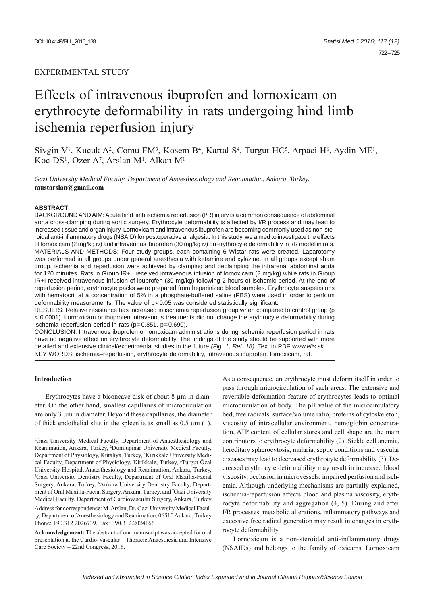# Effects of intravenous ibuprofen and lornoxicam on erythrocyte deformability in rats undergoing hind limb ischemia reperfusion injury

Sivgin  $V^1$ , Kucuk A<sup>2</sup>, Comu FM<sup>3</sup>, Kosem B<sup>4</sup>, Kartal S<sup>4</sup>, Turgut HC<sup>5</sup>, Arpaci H<sup>6</sup>, Aydin ME<sup>1</sup>, Koc DS<sup>1</sup>, Ozer A<sup>7</sup>, Arslan M<sup>1</sup>, Alkan M<sup>1</sup>

*Gazi University Medical Faculty, Department of Anaesthesiology and Reanimation, Ankara, Turkey.*  **mustarslan@gmail.com**

#### **ABSTRACT**

BACKGROUND AND AIM: Acute hind limb ischemia reperfusion (I/R) injury is a common consequence of abdominal aorta cross-clamping during aortic surgery. Erythrocyte deformability is affected by I/R process and may lead to increased tissue and organ injury. Lornoxicam and intravenous ibuprofen are becoming commonly used as non-steroidal anti-inflammatory drugs (NSAID) for postoperative analgesia. In this study, we aimed to investigate the effects of lornoxicam (2 mg/kg iv) and intravenous ibuprofen (30 mg/kg iv) on erythrocyte deformability in I/R model in rats. MATERIALS AND METHODS: Four study groups, each containing 6 Wistar rats were created. Laparotomy was performed in all groups under general anesthesia with ketamine and xylazine. In all groups except sham group, ischemia and reperfusion were achieved by clamping and declamping the infrarenal abdominal aorta for 120 minutes. Rats in Group IR+L received intravenous infusion of lornoxicam (2 mg/kg) while rats in Group IR+I received intravenous infusion of ibubrofen (30 mg/kg) following 2 hours of ischemic period. At the end of reperfusion period, erythrocyte packs were prepared from heparinized blood samples. Erythrocyte suspensions with hematocrit at a concentration of 5% in a phosphate-buffered saline (PBS) were used in order to perform deformability measurements. The value of  $p<0.05$  was considered statistically significant.

RESULTS: Relative resistance has increased in ischemia reperfusion group when compared to control group (p < 0.0001). Lornoxicam or ibuprofen intravenous treatments did not change the erythrocyte deformability during ischemia reperfusion period in rats (p=0.851, p=0.690).

CONCLUSION: Intravenous ibuprofen or lornoxicam administrations during ischemia reperfusion period in rats have no negative effect on erythrocyte deformability. The findings of the study should be supported with more detailed and extensive clinical/experimental studies in the future *(Fig. 1, Ref. 18)*. Text in PDF *www.elis.sk.* KEY WORDS: ischemia–reperfusion, erythrocyte deformability, intravenous ibuprofen, lornoxicam, rat.

## **Introduction**

Erythrocytes have a biconcave disk of about 8 μm in diameter. On the other hand, smallest capillaries of microcirculation are only 3 μm in diameter. Beyond these capillaries, the diameter of thick endothelial slits in the spleen is as small as 0.5 μm (1).

**Acknowledgement:** The abstract of our manuscript was accepted for oral presentation at the Cardio-Vascular – Thoracic Anaesthesia and Intensive Care Society – 22nd Congress, 2016.

As a consequence, an erythrocyte must deform itself in order to pass through microcirculation of such areas. The extensive and reversible deformation feature of erythrocytes leads to optimal microcirculation of body. The pH value of the microcirculatory bed, free radicals, surface/volume ratio, proteins of cytoskeleton, viscosity of intracellular environment, hemoglobin concentration, ATP content of cellular stores and cell shape are the main contributors to erythrocyte deformability (2). Sickle cell anemia, hereditary spherocytosis, malaria, septic conditions and vascular diseases may lead to decreased erythrocyte deformability (3). Decreased erythrocyte deformability may result in increased blood viscosity, occlusion in microvessels, impaired perfusion and ischemia. Although underlying mechanisms are partially explained, ischemia-reperfusion affects blood and plasma viscosity, erythrocyte deformability and aggregation (4, 5). During and after I/R processes, metabolic alterations, inflammatory pathways and excessive free radical generation may result in changes in erythrocyte deformability.

Lornoxicam is a non-steroidal anti-inflammatory drugs (NSAIDs) and belongs to the family of oxicams. Lornoxicam

<sup>1</sup> Gazi University Medical Faculty, Department of Anaesthesiology and Reanimation, Ankara, Turkey, 2 Dumlupinar University Medical Faculty, Department of Physiology, Kütahya, Turkey, <sup>3</sup>Kirikkale University Medical Faculty, Department of Physiology, Kirikkale, Turkey, 4 Turgut Özal University Hospital, Anaesthesiology and Reanimation, Ankara, Turkey, 5 Gazi University Dentistry Faculty, Department of Oral Maxilla-Facial Surgery, Ankara, Turkey, 6 Ankara University Dentistry Faculty, Department of Oral Maxilla-Facial Surgery, Ankara, Turkey, and <sup>7</sup>Gazi University Medical Faculty, Department of Cardiovascular Surgery, Ankara, Turkey Address for correspondence: M. Arslan, Dr, Gazi University Medical Faculty, Department of Anesthesiology and Reanimation, 06510 Ankara, Turkey Phone: +90.312.2026739, Fax: +90.312.2024166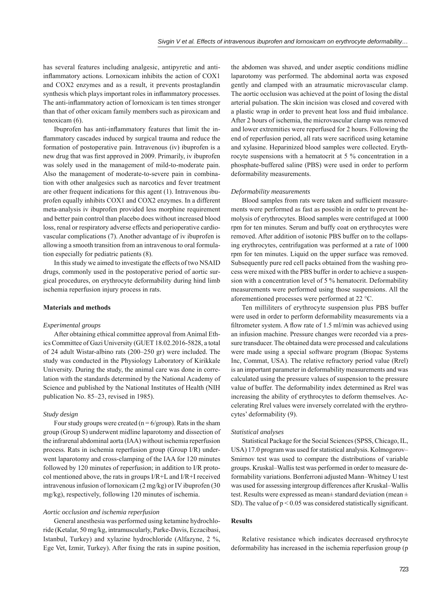has several features including analgesic, antipyretic and antiinflammatory actions. Lornoxicam inhibits the action of COX1 and COX2 enzymes and as a result, it prevents prostaglandin synthesis which plays important roles in inflammatory processes. The anti-inflammatory action of lornoxicam is ten times stronger than that of other oxicam family members such as piroxicam and tenoxicam (6).

Ibuprofen has anti-inflammatory features that limit the inflammatory cascades induced by surgical trauma and reduce the formation of postoperative pain. Intravenous (iv) ibuprofen is a new drug that was first approved in 2009. Primarily, iv ibuprofen was solely used in the management of mild-to-moderate pain. Also the management of moderate-to-severe pain in combination with other analgesics such as narcotics and fever treatment are other frequent indications for this agent (1). Intravenous ibuprofen equally inhibits COX1 and COX2 enzymes. In a different meta-analysis iv ibuprofen provided less morphine requirement and better pain control than placebo does without increased blood loss, renal or respiratory adverse effects and perioperative cardiovascular complications (7). Another advantage of iv ibuprofen is allowing a smooth transition from an intravenous to oral formulation especially for pediatric patients (8).

In this study we aimed to investigate the effects of two NSAID drugs, commonly used in the postoperative period of aortic surgical procedures, on erythrocyte deformability during hind limb ischemia reperfusion injury process in rats.

### **Materials and methods**

## *Experimental groups*

After obtaining ethical committee approval from Animal Ethics Committee of Gazi University (GUET 18.02.2016-5828, a total of 24 adult Wistar-albino rats (200–250 gr) were included. The study was conducted in the Physiology Laboratory of Kirikkale University. During the study, the animal care was done in correlation with the standards determined by the National Academy of Science and published by the National Institutes of Health (NIH publication No. 85–23, revised in 1985).

#### *Study design*

Four study groups were created ( $n = 6$ /group). Rats in the sham group (Group S) underwent midline laparotomy and dissection of the infrarenal abdominal aorta (IAA) without ischemia reperfusion process. Rats in ischemia reperfusion group (Group I/R) underwent laparotomy and cross-clamping of the IAA for 120 minutes followed by 120 minutes of reperfusion; in addition to I/R protocol mentioned above, the rats in groups I/R+L and I/R+I received intravenous infusion of lornoxicam (2 mg/kg) or IV ibuprofen (30 mg/kg), respectively, following 120 minutes of ischemia.

#### *Aortic occlusion and ischemia reperfusion*

General anesthesia was performed using ketamine hydrochloride (Ketalar, 50 mg/kg, intramuscularly, Parke-Davis, Eczacibasi, Istanbul, Turkey) and xylazine hydrochloride (Alfazyne, 2 %, Ege Vet, Izmir, Turkey). After fixing the rats in supine position,

the abdomen was shaved, and under aseptic conditions midline laparotomy was performed. The abdominal aorta was exposed gently and clamped with an atraumatic microvascular clamp. The aortic occlusion was achieved at the point of losing the distal arterial pulsation. The skin incision was closed and covered with a plastic wrap in order to prevent heat loss and fluid imbalance. After 2 hours of ischemia, the microvascular clamp was removed and lower extremities were reperfused for 2 hours. Following the end of reperfusion period, all rats were sacrificed using ketamine and xylasine. Heparinized blood samples were collected. Erythrocyte suspensions with a hematocrit at 5 % concentration in a phosphate-buffered saline (PBS) were used in order to perform deformability measurements.

## *Deformability measurements*

Blood samples from rats were taken and sufficient measurements were performed as fast as possible in order to prevent hemolysis of erythrocytes. Blood samples were centrifuged at 1000 rpm for ten minutes. Serum and buffy coat on erythrocytes were removed. After addition of isotonic PBS buffer on to the collapsing erythrocytes, centrifugation was performed at a rate of 1000 rpm for ten minutes. Liquid on the upper surface was removed. Subsequently pure red cell packs obtained from the washing process were mixed with the PBS buffer in order to achieve a suspension with a concentration level of 5 % hematocrit. Deformability measurements were performed using those suspensions. All the aforementioned processes were performed at 22 °C.

Ten milliliters of erythrocyte suspension plus PBS buffer were used in order to perform deformability measurements via a filtrometer system. A flow rate of  $1.5$  ml/min was achieved using an infusion machine. Pressure changes were recorded via a pressure transducer. The obtained data were processed and calculations were made using a special software program (Biopac Systems Inc, Commat, USA). The relative refractory period value (Rrel) is an important parameter in deformability measurements and was calculated using the pressure values of suspension to the pressure value of buffer. The deformability index determined as Rrel was increasing the ability of erythrocytes to deform themselves. Accelerating Rrel values were inversely correlated with the erythrocytes' deformability (9).

#### *Statistical analyses*

Statistical Package for the Social Sciences (SPSS, Chicago, IL, USA) 17.0 program was used for statistical analysis. Kolmogorov– Smirnov test was used to compare the distributions of variable groups. Kruskal–Wallis test was performed in order to measure deformability variations. Bonferroni adjusted Mann–Whitney U test was used for assessing intergroup differences after Kruskal–Wallis test. Results were expressed as mean± standard deviation (mean ± SD). The value of  $p < 0.05$  was considered statistically significant.

## **Results**

Relative resistance which indicates decreased erythrocyte deformability has increased in the ischemia reperfusion group (p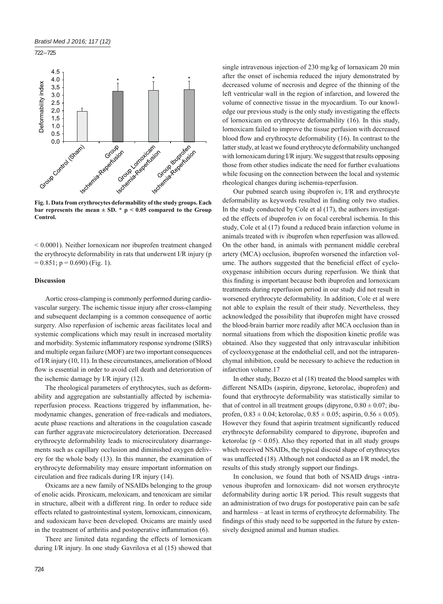722 – 725



**bar represents the mean ± SD. \* p < 0.05 compared to the Group Control.**

< 0.0001). Neither lornoxicam nor ibuprofen treatment changed the erythrocyte deformability in rats that underwent I/R injury (p  $= 0.851$ ; p  $= 0.690$ ) (Fig. 1).

# **Discussion**

Aortic cross-clamping is commonly performed during cardiovascular surgery. The ischemic tissue injury after cross-clamping and subsequent declamping is a common consequence of aortic surgery. Also reperfusion of ischemic areas facilitates local and systemic complications which may result in increased mortality and morbidity. Systemic inflammatory response syndrome (SIRS) and multiple organ failure (MOF) are two important consequences of I/R injury (10, 11). In these circumstances, amelioration of blood flow is essential in order to avoid cell death and deterioration of the ischemic damage by I/R injury (12).

The rheological parameters of erythrocytes, such as deformability and aggregation are substantially affected by ischemiareperfusion process. Reactions triggered by inflammation, hemodynamic changes, generation of free-radicals and mediators, acute phase reactions and alterations in the coagulation cascade can further aggravate microcirculatory deterioration. Decreased erythrocyte deformability leads to microcirculatory disarrangements such as capillary occlusion and diminished oxygen delivery for the whole body (13). In this manner, the examination of erythrocyte deformability may ensure important information on circulation and free radicals during I/R injury (14).

Oxicams are a new family of NSAIDs belonging to the group of enolic acids. Piroxicam, meloxicam, and tenoxicam are similar in structure, albeit with a different ring. In order to reduce side effects related to gastrointestinal system, lornoxicam, cinnoxicam, and sudoxicam have been developed. Oxicams are mainly used in the treatment of arthritis and postoperative inflammation  $(6)$ .

There are limited data regarding the effects of lornoxicam during I/R injury. In one study Gavrilova et al (15) showed that single intravenous injection of 230 mg/kg of lornaxicam 20 min after the onset of ischemia reduced the injury demonstrated by decreased volume of necrosis and degree of the thinning of the left ventricular wall in the region of infarction, and lowered the volume of connective tissue in the myocardium. To our knowledge our previous study is the only study investigating the effects of lornoxicam on erythrocyte deformability (16). In this study, lornoxicam failed to improve the tissue perfusion with decreased blood flow and erythrocyte deformability (16). In contrast to the latter study, at least we found erythrocyte deformability unchanged with lornoxicam during I/R injury. We suggest that results opposing those from other studies indicate the need for further evaluations while focusing on the connection between the local and systemic rheological changes during ischemia-reperfusion.

Our pubmed search using ibuprofen iv, I/R and erythrocyte deformability as keywords resulted in finding only two studies. In the study conducted by Cole et al (17), the authors investigated the effects of ibuprofen iv on focal cerebral ischemia. In this study, Cole et al (17) found a reduced brain infarction volume in animals treated with iv ibuprofen when reperfusion was allowed. On the other hand, in animals with permanent middle cerebral artery (MCA) occlusion, ibuprofen worsened the infarction volume. The authors suggested that the beneficial effect of cyclooxygenase inhibition occurs during reperfusion. We think that this finding is important because both ibuprofen and lornoxicam treatments during reperfusion period in our study did not result in worsened erythrocyte deformability. In addition, Cole et al were not able to explain the result of their study. Nevertheless, they acknowledged the possibility that ibuprofen might have crossed the blood-brain barrier more readily after MCA occlusion than in normal situations from which the disposition kinetic profile was obtained. Also they suggested that only intravascular inhibition of cyclooxygenase at the endothelial cell, and not the intraparenchymal inhibition, could be necessary to achieve the reduction in infarction volume.17

In other study, Bozzo et al (18) treated the blood samples with different NSAIDs (aspirin, dipyrone, ketorolac, ibuprofen) and found that erythrocyte deformability was statistically similar to that of control in all treatment groups (dipyrone,  $0.80 \pm 0.07$ ; ibuprofen,  $0.83 \pm 0.04$ ; ketorolac,  $0.85 \pm 0.05$ ; aspirin,  $0.56 \pm 0.05$ ). However they found that aspirin treatment significantly reduced erythrocyte deformability compared to dipyrone, ibuprofen and ketorolac ( $p < 0.05$ ). Also they reported that in all study groups which received NSAIDs, the typical discoid shape of erythrocytes was unaffected (18). Although not conducted as an I/R model, the results of this study strongly support our findings.

In conclusion, we found that both of NSAID drugs -intravenous ibuprofen and lornoxicam- did not worsen erythrocyte deformability during aortic I/R period. This result suggests that an administration of two drugs for postoperative pain can be safe and harmless – at least in terms of erythrocyte deformability. The findings of this study need to be supported in the future by extensively designed animal and human studies.